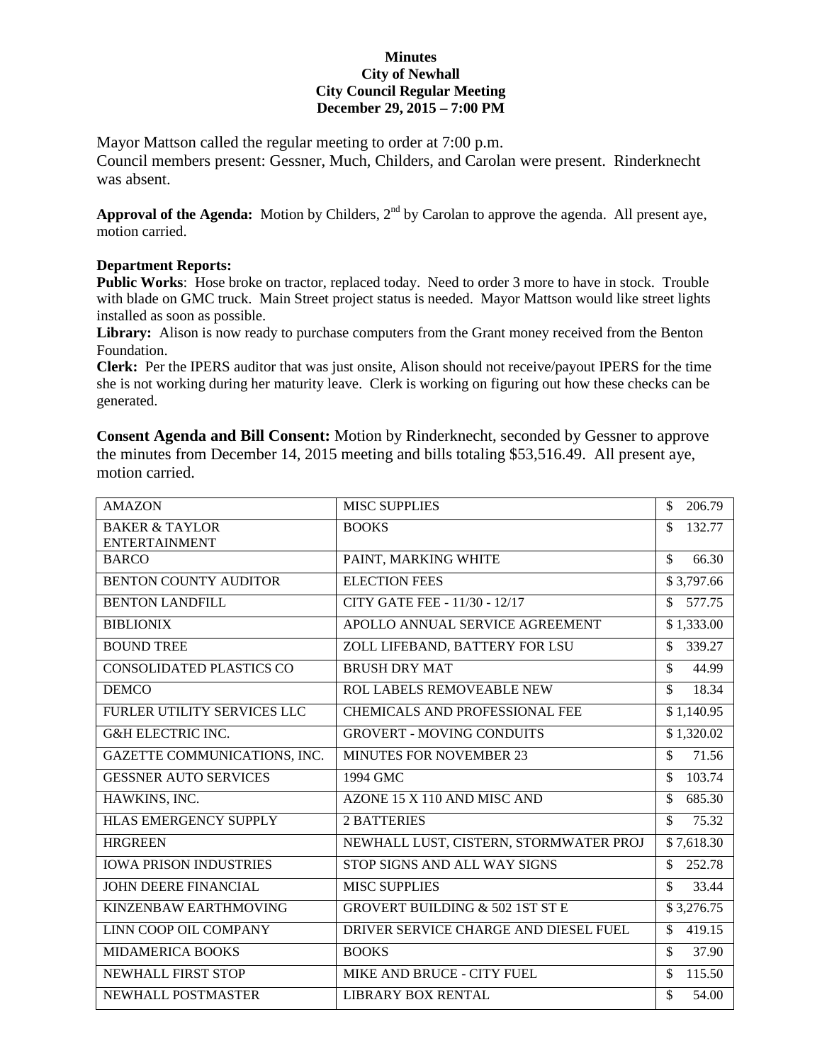## **Minutes City of Newhall City Council Regular Meeting December 29, 2015 – 7:00 PM**

Mayor Mattson called the regular meeting to order at 7:00 p.m.

Council members present: Gessner, Much, Childers, and Carolan were present. Rinderknecht was absent.

Approval of the Agenda: Motion by Childers, 2<sup>nd</sup> by Carolan to approve the agenda. All present aye, motion carried.

## **Department Reports:**

**Public Works**: Hose broke on tractor, replaced today. Need to order 3 more to have in stock. Trouble with blade on GMC truck. Main Street project status is needed. Mayor Mattson would like street lights installed as soon as possible.

**Library:** Alison is now ready to purchase computers from the Grant money received from the Benton Foundation.

**Clerk:** Per the IPERS auditor that was just onsite, Alison should not receive/payout IPERS for the time she is not working during her maturity leave. Clerk is working on figuring out how these checks can be generated.

**Consent Agenda and Bill Consent:** Motion by Rinderknecht, seconded by Gessner to approve the minutes from December 14, 2015 meeting and bills totaling \$53,516.49. All present aye, motion carried.

| <b>AMAZON</b>                                     | <b>MISC SUPPLIES</b>                       | \$<br>206.79                 |
|---------------------------------------------------|--------------------------------------------|------------------------------|
| <b>BAKER &amp; TAYLOR</b><br><b>ENTERTAINMENT</b> | <b>BOOKS</b>                               | \$<br>132.77                 |
| <b>BARCO</b>                                      | PAINT, MARKING WHITE                       | 66.30<br>\$                  |
| <b>BENTON COUNTY AUDITOR</b>                      | <b>ELECTION FEES</b>                       | \$3,797.66                   |
| <b>BENTON LANDFILL</b>                            | CITY GATE FEE - 11/30 - 12/17              | 577.75<br>\$                 |
| <b>BIBLIONIX</b>                                  | APOLLO ANNUAL SERVICE AGREEMENT            | \$1,333.00                   |
| <b>BOUND TREE</b>                                 | ZOLL LIFEBAND, BATTERY FOR LSU             | \$<br>339.27                 |
| CONSOLIDATED PLASTICS CO                          | <b>BRUSH DRY MAT</b>                       | \$<br>44.99                  |
| <b>DEMCO</b>                                      | <b>ROL LABELS REMOVEABLE NEW</b>           | \$<br>18.34                  |
| FURLER UTILITY SERVICES LLC                       | CHEMICALS AND PROFESSIONAL FEE             | \$1,140.95                   |
| <b>G&amp;H ELECTRIC INC.</b>                      | <b>GROVERT - MOVING CONDUITS</b>           | \$1,320.02                   |
| GAZETTE COMMUNICATIONS, INC.                      | <b>MINUTES FOR NOVEMBER 23</b>             | \$<br>71.56                  |
| <b>GESSNER AUTO SERVICES</b>                      | 1994 GMC                                   | \$<br>103.74                 |
| HAWKINS, INC.                                     | AZONE 15 X 110 AND MISC AND                | 685.30<br>\$                 |
| <b>HLAS EMERGENCY SUPPLY</b>                      | <b>2 BATTERIES</b>                         | 75.32<br>\$                  |
| <b>HRGREEN</b>                                    | NEWHALL LUST, CISTERN, STORMWATER PROJ     | \$7,618.30                   |
| <b>IOWA PRISON INDUSTRIES</b>                     | STOP SIGNS AND ALL WAY SIGNS               | \$<br>252.78                 |
| <b>JOHN DEERE FINANCIAL</b>                       | <b>MISC SUPPLIES</b>                       | \$<br>33.44                  |
| KINZENBAW EARTHMOVING                             | <b>GROVERT BUILDING &amp; 502 1ST ST E</b> | \$3,276.75                   |
| LINN COOP OIL COMPANY                             | DRIVER SERVICE CHARGE AND DIESEL FUEL      | $\mathbf{\hat{S}}$<br>419.15 |
| <b>MIDAMERICA BOOKS</b>                           | <b>BOOKS</b>                               | 37.90<br>\$                  |
| <b>NEWHALL FIRST STOP</b>                         | MIKE AND BRUCE - CITY FUEL                 | 115.50<br>\$                 |
| NEWHALL POSTMASTER                                | <b>LIBRARY BOX RENTAL</b>                  | 54.00<br>\$                  |